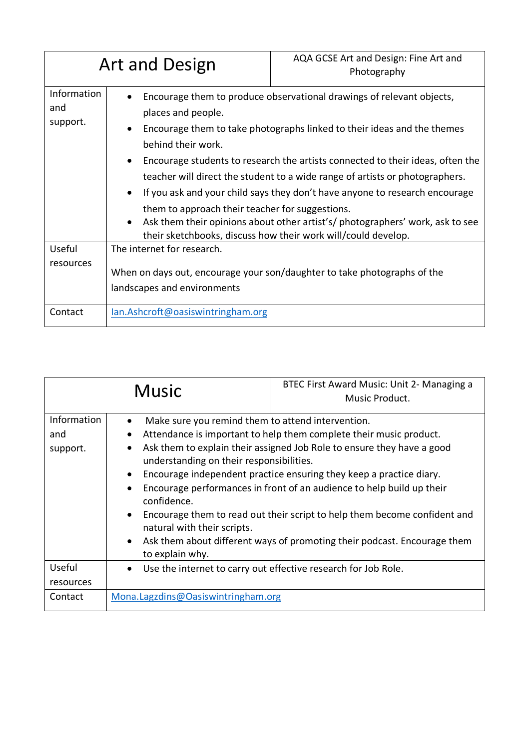| <b>Art and Design</b>          |                                                                                                                                                  | AQA GCSE Art and Design: Fine Art and<br>Photography                                                                                                                                                                                                                                                                                                                                                                                                                                                                                  |  |  |
|--------------------------------|--------------------------------------------------------------------------------------------------------------------------------------------------|---------------------------------------------------------------------------------------------------------------------------------------------------------------------------------------------------------------------------------------------------------------------------------------------------------------------------------------------------------------------------------------------------------------------------------------------------------------------------------------------------------------------------------------|--|--|
| Information<br>and<br>support. | places and people.<br>behind their work.<br>$\bullet$<br>$\bullet$<br>$\bullet$<br>their sketchbooks, discuss how their work will/could develop. | Encourage them to produce observational drawings of relevant objects,<br>Encourage them to take photographs linked to their ideas and the themes<br>Encourage students to research the artists connected to their ideas, often the<br>teacher will direct the student to a wide range of artists or photographers.<br>If you ask and your child says they don't have anyone to research encourage<br>them to approach their teacher for suggestions.<br>Ask them their opinions about other artist's/ photographers' work, ask to see |  |  |
| Useful<br>resources            | The internet for research.<br>When on days out, encourage your son/daughter to take photographs of the<br>landscapes and environments            |                                                                                                                                                                                                                                                                                                                                                                                                                                                                                                                                       |  |  |
| Contact                        | lan.Ashcroft@oasiswintringham.org                                                                                                                |                                                                                                                                                                                                                                                                                                                                                                                                                                                                                                                                       |  |  |

| <b>Music</b>                   |                                                                                                                                                                                                                                                                                                                                                                                                                                                                                                                                                                                                                                                                                    | BTEC First Award Music: Unit 2- Managing a<br>Music Product. |
|--------------------------------|------------------------------------------------------------------------------------------------------------------------------------------------------------------------------------------------------------------------------------------------------------------------------------------------------------------------------------------------------------------------------------------------------------------------------------------------------------------------------------------------------------------------------------------------------------------------------------------------------------------------------------------------------------------------------------|--------------------------------------------------------------|
| Information<br>and<br>support. | Make sure you remind them to attend intervention.<br>$\bullet$<br>Attendance is important to help them complete their music product.<br>$\bullet$<br>Ask them to explain their assigned Job Role to ensure they have a good<br>$\bullet$<br>understanding on their responsibilities.<br>Encourage independent practice ensuring they keep a practice diary.<br>$\bullet$<br>Encourage performances in front of an audience to help build up their<br>confidence.<br>Encourage them to read out their script to help them become confident and<br>$\bullet$<br>natural with their scripts.<br>Ask them about different ways of promoting their podcast. Encourage them<br>$\bullet$ |                                                              |
| Useful                         | Use the internet to carry out effective research for Job Role.<br>$\bullet$                                                                                                                                                                                                                                                                                                                                                                                                                                                                                                                                                                                                        |                                                              |
| resources                      |                                                                                                                                                                                                                                                                                                                                                                                                                                                                                                                                                                                                                                                                                    |                                                              |
| Contact                        | Mona.Lagzdins@Oasiswintringham.org                                                                                                                                                                                                                                                                                                                                                                                                                                                                                                                                                                                                                                                 |                                                              |